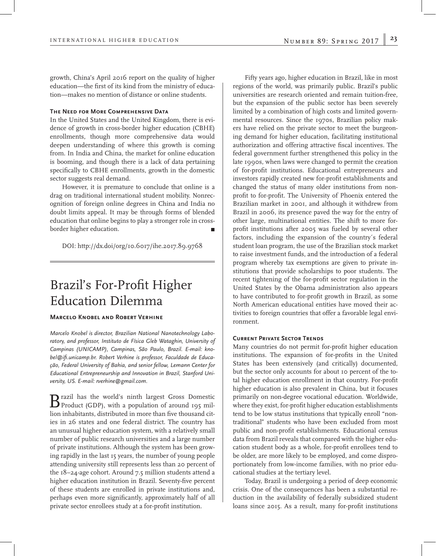growth, China's April 2016 report on the quality of higher education—the first of its kind from the ministry of education—makes no mention of distance or online students.

## **The Need for More Comprehensive Data**

In the United States and the United Kingdom, there is evidence of growth in cross-border higher education (CBHE) enrollments, though more comprehensive data would deepen understanding of where this growth is coming from. In India and China, the market for online education is booming, and though there is a lack of data pertaining specifically to CBHE enrollments, growth in the domestic sector suggests real demand.

However, it is premature to conclude that online is a drag on traditional international student mobility. Nonrecognition of foreign online degrees in China and India no doubt limits appeal. It may be through forms of blended education that online begins to play a stronger role in crossborder higher education. 

DOI: http://dx.doi/org/10.6017/ihe.2017.89.9768

# Brazil's For-Profit Higher Education Dilemma

### **Marcelo Knobel and Robert Verhine**

*Marcelo Knobel is director, Brazilian National Nanotechnology Laboratory, and professor, Instituto de Física Gleb Wataghin, University of Campinas (UNICAMP), Campinas, São Paulo, Brazil. E-mail: knobel@ifi.unicamp.br. Robert Verhine is professor, Faculdade de Educação, Federal University of Bahia, and senior fellow, Lemann Center for Educational Entrepreneurship and Innovation in Brazil, Stanford University, US. E-mail: rverhine@gmail.com.*

B razil has the world's ninth largest Gross Domestic<br>Product (GDP), with a population of around 195 million inhabitants, distributed in more than five thousand cities in 26 states and one federal district. The country has an unusual higher education system, with a relatively small number of public research universities and a large number of private institutions. Although the system has been growing rapidly in the last 15 years, the number of young people attending university still represents less than 20 percent of the 18–24-age cohort. Around 7.5 million students attend a higher education institution in Brazil. Seventy-five percent of these students are enrolled in private institutions and, perhaps even more significantly, approximately half of all private sector enrollees study at a for-profit institution.

Fifty years ago, higher education in Brazil, like in most regions of the world, was primarily public. Brazil's public universities are research oriented and remain tuition-free, but the expansion of the public sector has been severely limited by a combination of high costs and limited governmental resources. Since the 1970s, Brazilian policy makers have relied on the private sector to meet the burgeoning demand for higher education, facilitating institutional authorization and offering attractive fiscal incentives. The federal government further strengthened this policy in the late 1990s, when laws were changed to permit the creation of for-profit institutions. Educational entrepreneurs and investors rapidly created new for-profit establishments and changed the status of many older institutions from nonprofit to for-profit. The University of Phoenix entered the Brazilian market in 2001, and although it withdrew from Brazil in 2006, its presence paved the way for the entry of other large, multinational entities. The shift to more forprofit institutions after 2005 was fueled by several other factors, including the expansion of the country´s federal student loan program, the use of the Brazilian stock market to raise investment funds, and the introduction of a federal program whereby tax exemptions are given to private institutions that provide scholarships to poor students. The recent tightening of the for-profit sector regulation in the United States by the Obama administration also appears to have contributed to for-profit growth in Brazil, as some North American educational entities have moved their activities to foreign countries that offer a favorable legal environment.

#### **CURRENT PRIVATE SECTOR TRENDS**

Many countries do not permit for-profit higher education institutions. The expansion of for-profits in the United States has been extensively (and critically) documented, but the sector only accounts for about 10 percent of the total higher education enrollment in that country. For-profit higher education is also prevalent in China, but it focuses primarily on non-degree vocational education. Worldwide, where they exist, for-profit higher education establishments tend to be low status institutions that typically enroll "nontraditional" students who have been excluded from most public and non-profit establishments. Educational census data from Brazil reveals that compared with the higher education student body as a whole, for-profit enrollees tend to be older, are more likely to be employed, and come disproportionately from low-income families, with no prior educational studies at the tertiary level.

Today, Brazil is undergoing a period of deep economic crisis. One of the consequences has been a substantial reduction in the availability of federally subsidized student loans since 2015. As a result, many for-profit institutions